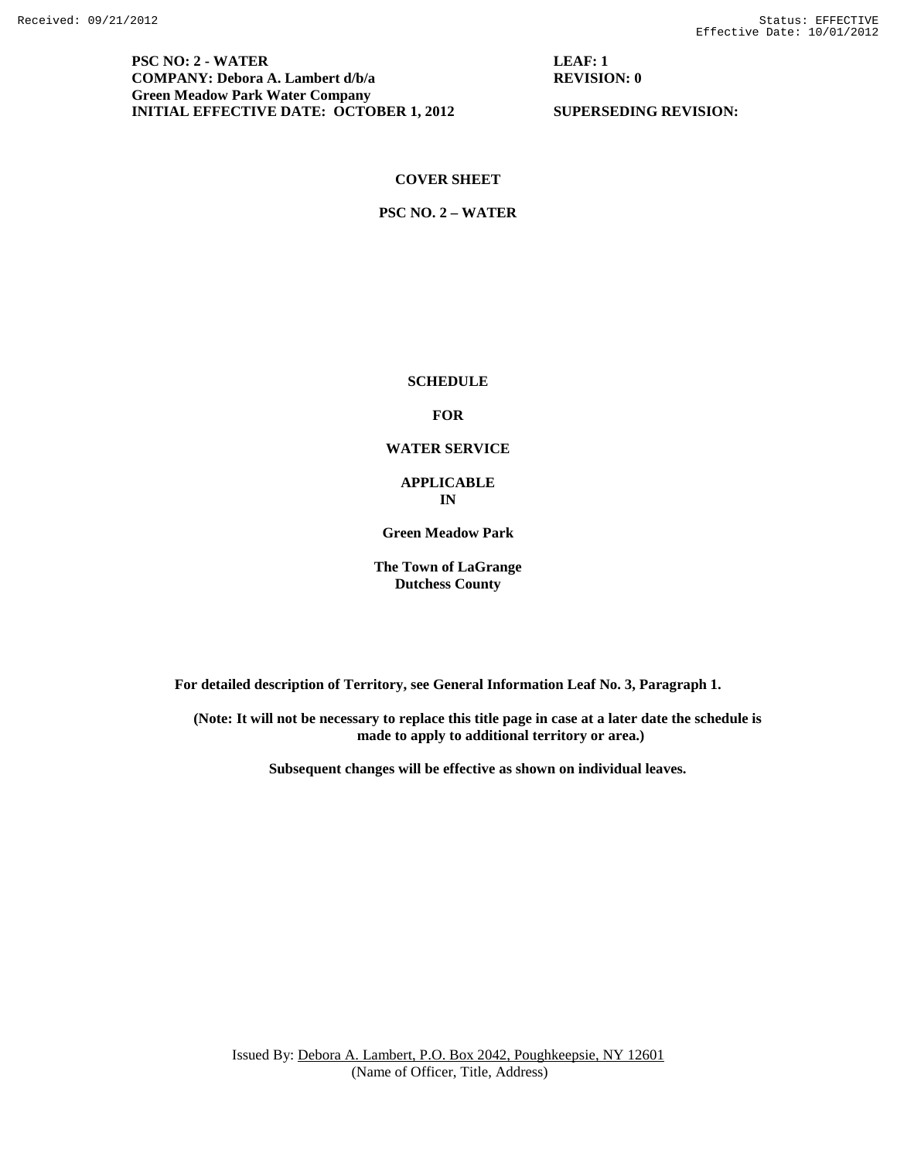**PSC NO: 2 - WATER LEAF: 1 COMPANY: Debora A. Lambert d/b/a** REVISION: 0 **Green Meadow Park Water Company INITIAL EFFECTIVE DATE: OCTOBER 1, 2012** SUPERSEDING REVISION:

## **COVER SHEET**

**PSC NO. 2 – WATER**

**SCHEDULE**

**FOR**

### **WATER SERVICE**

### **APPLICABLE IN**

**Green Meadow Park**

**The Town of LaGrange Dutchess County**

**For detailed description of Territory, see General Information Leaf No. 3, Paragraph 1.**

**(Note: It will not be necessary to replace this title page in case at a later date the schedule is made to apply to additional territory or area.)**

**Subsequent changes will be effective as shown on individual leaves.**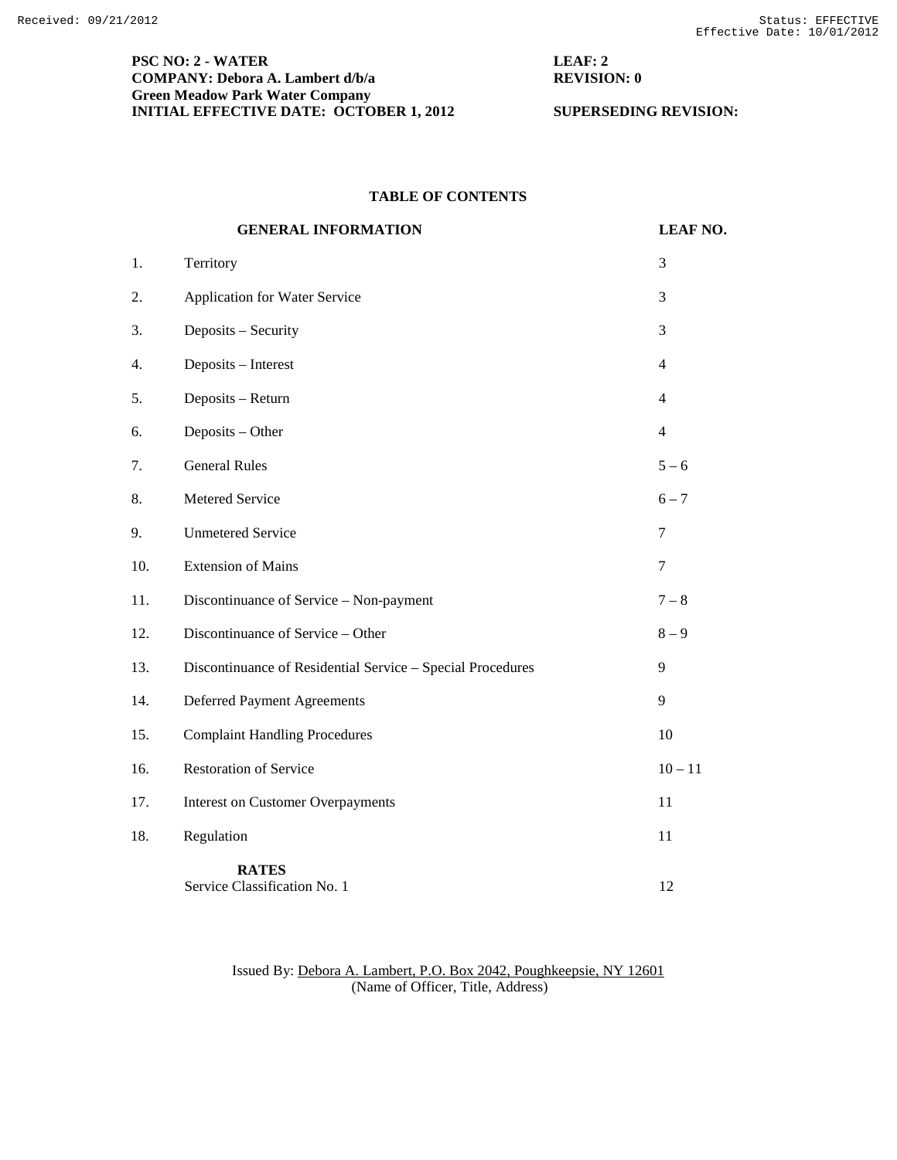# **PSC NO: 2 - WATER LEAF: 2 COMPANY: Debora A. Lambert d/b/a** REVISION: 0 **Green Meadow Park Water Company INITIAL EFFECTIVE DATE: OCTOBER 1, 2012** SUPERSEDING REVISION:

# **TABLE OF CONTENTS**

|     | <b>GENERAL INFORMATION</b>                                 | <b>LEAF NO.</b> |
|-----|------------------------------------------------------------|-----------------|
| 1.  | Territory                                                  | 3               |
| 2.  | Application for Water Service                              | 3               |
| 3.  | Deposits - Security                                        | 3               |
| 4.  | Deposits - Interest                                        | $\overline{4}$  |
| 5.  | Deposits - Return                                          | $\overline{4}$  |
| 6.  | Deposits - Other                                           | $\overline{4}$  |
| 7.  | <b>General Rules</b>                                       | $5 - 6$         |
| 8.  | Metered Service                                            | $6 - 7$         |
| 9.  | <b>Unmetered Service</b>                                   | $\tau$          |
| 10. | <b>Extension of Mains</b>                                  | $\overline{7}$  |
| 11. | Discontinuance of Service - Non-payment                    | $7 - 8$         |
| 12. | Discontinuance of Service - Other                          | $8-9$           |
| 13. | Discontinuance of Residential Service - Special Procedures | 9               |
| 14. | <b>Deferred Payment Agreements</b>                         | 9               |
| 15. | <b>Complaint Handling Procedures</b>                       | 10              |
| 16. | <b>Restoration of Service</b>                              | $10 - 11$       |
| 17. | <b>Interest on Customer Overpayments</b>                   | 11              |
| 18. | Regulation                                                 | 11              |
|     | <b>RATES</b><br>Service Classification No. 1               | 12              |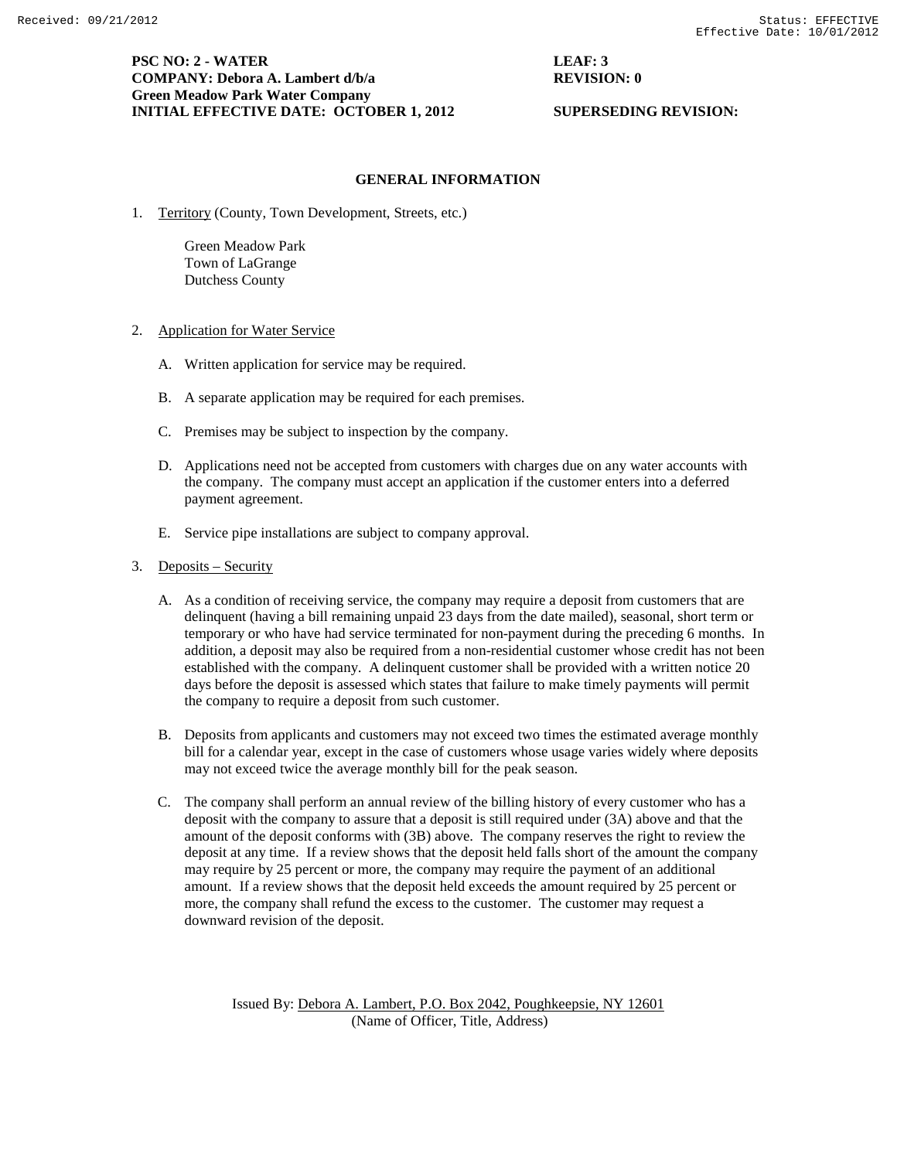**PSC NO: 2 - WATER LEAF: 3 COMPANY:** Debora A. Lambert d/b/a **REVISION: 0 Green Meadow Park Water Company INITIAL EFFECTIVE DATE: OCTOBER 1, 2012 SUPERSEDING REVISION:** 

# **GENERAL INFORMATION**

1. Territory (County, Town Development, Streets, etc.)

Green Meadow Park Town of LaGrange Dutchess County

- 2. Application for Water Service
	- A. Written application for service may be required.
	- B. A separate application may be required for each premises.
	- C. Premises may be subject to inspection by the company.
	- D. Applications need not be accepted from customers with charges due on any water accounts with the company. The company must accept an application if the customer enters into a deferred payment agreement.
	- E. Service pipe installations are subject to company approval.
- 3. Deposits Security
	- A. As a condition of receiving service, the company may require a deposit from customers that are delinquent (having a bill remaining unpaid 23 days from the date mailed), seasonal, short term or temporary or who have had service terminated for non-payment during the preceding 6 months. In addition, a deposit may also be required from a non-residential customer whose credit has not been established with the company. A delinquent customer shall be provided with a written notice 20 days before the deposit is assessed which states that failure to make timely payments will permit the company to require a deposit from such customer.
	- B. Deposits from applicants and customers may not exceed two times the estimated average monthly bill for a calendar year, except in the case of customers whose usage varies widely where deposits may not exceed twice the average monthly bill for the peak season.
	- C. The company shall perform an annual review of the billing history of every customer who has a deposit with the company to assure that a deposit is still required under (3A) above and that the amount of the deposit conforms with (3B) above. The company reserves the right to review the deposit at any time. If a review shows that the deposit held falls short of the amount the company may require by 25 percent or more, the company may require the payment of an additional amount. If a review shows that the deposit held exceeds the amount required by 25 percent or more, the company shall refund the excess to the customer. The customer may request a downward revision of the deposit.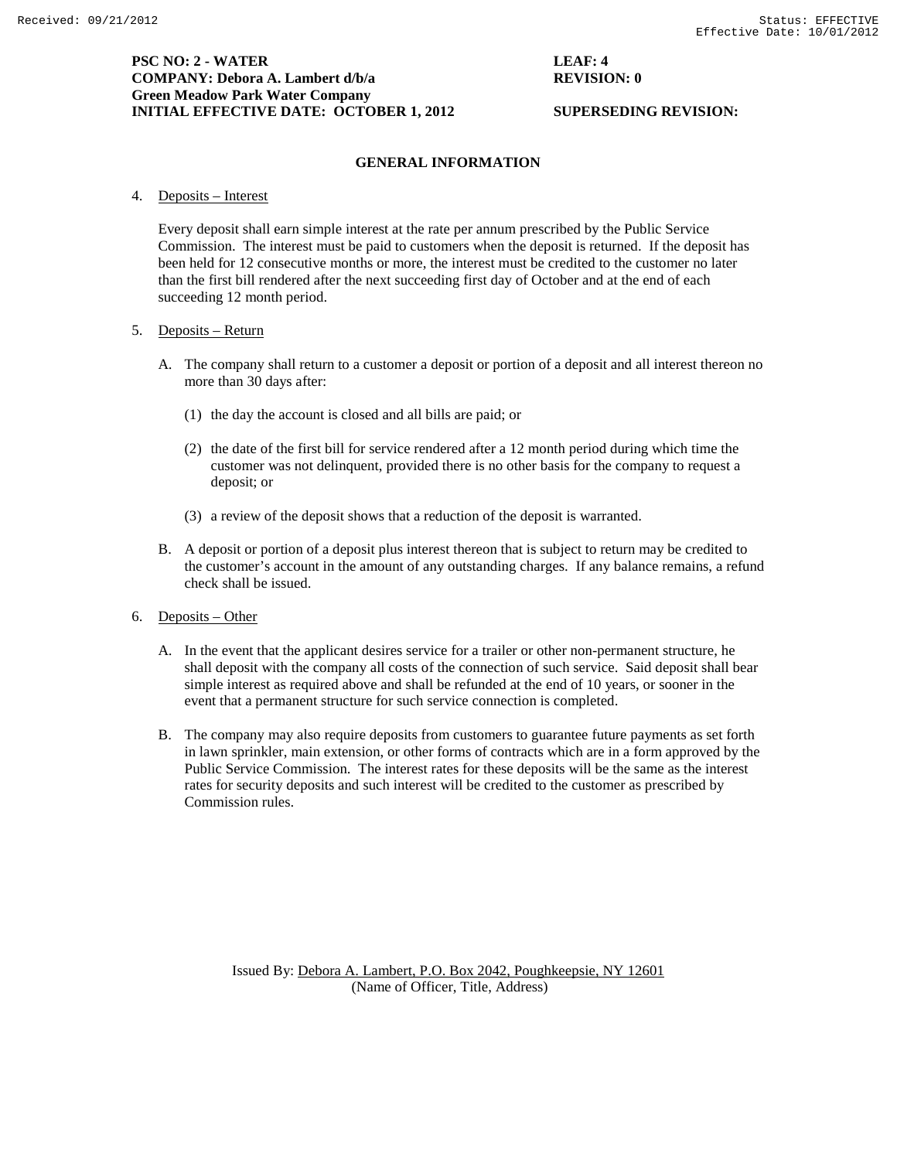### **GENERAL INFORMATION**

4. Deposits – Interest

Every deposit shall earn simple interest at the rate per annum prescribed by the Public Service Commission. The interest must be paid to customers when the deposit is returned. If the deposit has been held for 12 consecutive months or more, the interest must be credited to the customer no later than the first bill rendered after the next succeeding first day of October and at the end of each succeeding 12 month period.

### 5. Deposits – Return

- A. The company shall return to a customer a deposit or portion of a deposit and all interest thereon no more than 30 days after:
	- (1) the day the account is closed and all bills are paid; or
	- (2) the date of the first bill for service rendered after a 12 month period during which time the customer was not delinquent, provided there is no other basis for the company to request a deposit; or
	- (3) a review of the deposit shows that a reduction of the deposit is warranted.
- B. A deposit or portion of a deposit plus interest thereon that is subject to return may be credited to the customer's account in the amount of any outstanding charges. If any balance remains, a refund check shall be issued.
- 6. Deposits Other
	- A. In the event that the applicant desires service for a trailer or other non-permanent structure, he shall deposit with the company all costs of the connection of such service. Said deposit shall bear simple interest as required above and shall be refunded at the end of 10 years, or sooner in the event that a permanent structure for such service connection is completed.
	- B. The company may also require deposits from customers to guarantee future payments as set forth in lawn sprinkler, main extension, or other forms of contracts which are in a form approved by the Public Service Commission. The interest rates for these deposits will be the same as the interest rates for security deposits and such interest will be credited to the customer as prescribed by Commission rules.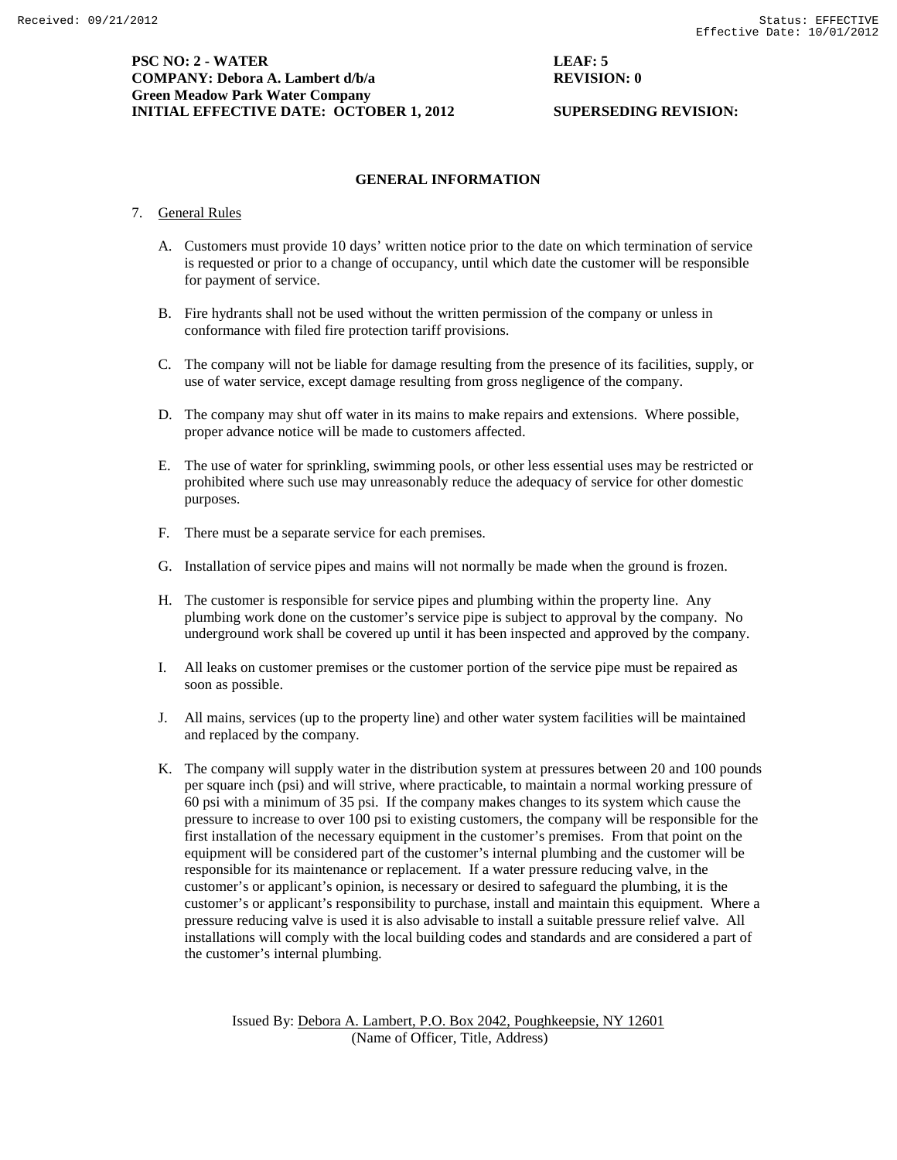**PSC NO: 2 - WATER LEAF: 5 COMPANY: Debora A. Lambert d/b/a REVISION: 0 Green Meadow Park Water Company INITIAL EFFECTIVE DATE: OCTOBER 1, 2012** SUPERSEDING REVISION:

# **GENERAL INFORMATION**

### 7. General Rules

- A. Customers must provide 10 days' written notice prior to the date on which termination of service is requested or prior to a change of occupancy, until which date the customer will be responsible for payment of service.
- B. Fire hydrants shall not be used without the written permission of the company or unless in conformance with filed fire protection tariff provisions.
- C. The company will not be liable for damage resulting from the presence of its facilities, supply, or use of water service, except damage resulting from gross negligence of the company.
- D. The company may shut off water in its mains to make repairs and extensions. Where possible, proper advance notice will be made to customers affected.
- E. The use of water for sprinkling, swimming pools, or other less essential uses may be restricted or prohibited where such use may unreasonably reduce the adequacy of service for other domestic purposes.
- F. There must be a separate service for each premises.
- G. Installation of service pipes and mains will not normally be made when the ground is frozen.
- H. The customer is responsible for service pipes and plumbing within the property line. Any plumbing work done on the customer's service pipe is subject to approval by the company. No underground work shall be covered up until it has been inspected and approved by the company.
- I. All leaks on customer premises or the customer portion of the service pipe must be repaired as soon as possible.
- J. All mains, services (up to the property line) and other water system facilities will be maintained and replaced by the company.
- K. The company will supply water in the distribution system at pressures between 20 and 100 pounds per square inch (psi) and will strive, where practicable, to maintain a normal working pressure of 60 psi with a minimum of 35 psi. If the company makes changes to its system which cause the pressure to increase to over 100 psi to existing customers, the company will be responsible for the first installation of the necessary equipment in the customer's premises. From that point on the equipment will be considered part of the customer's internal plumbing and the customer will be responsible for its maintenance or replacement. If a water pressure reducing valve, in the customer's or applicant's opinion, is necessary or desired to safeguard the plumbing, it is the customer's or applicant's responsibility to purchase, install and maintain this equipment. Where a pressure reducing valve is used it is also advisable to install a suitable pressure relief valve. All installations will comply with the local building codes and standards and are considered a part of the customer's internal plumbing.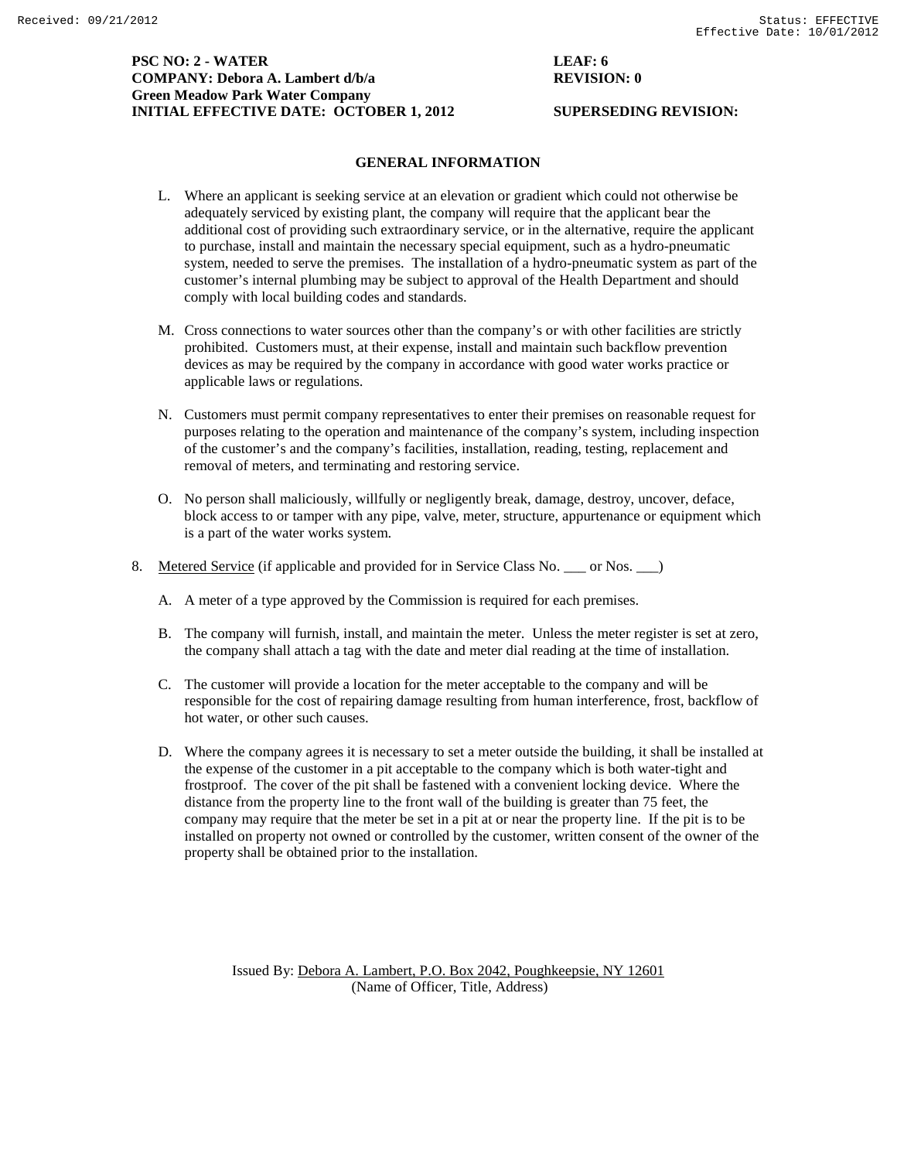# **PSC NO: 2 - WATER LEAF: 6 COMPANY: Debora A. Lambert d/b/a REVISION: 0 Green Meadow Park Water Company INITIAL EFFECTIVE DATE: OCTOBER 1, 2012 SUPERSEDING REVISION:**

# **GENERAL INFORMATION**

- L. Where an applicant is seeking service at an elevation or gradient which could not otherwise be adequately serviced by existing plant, the company will require that the applicant bear the additional cost of providing such extraordinary service, or in the alternative, require the applicant to purchase, install and maintain the necessary special equipment, such as a hydro-pneumatic system, needed to serve the premises. The installation of a hydro-pneumatic system as part of the customer's internal plumbing may be subject to approval of the Health Department and should comply with local building codes and standards.
- M. Cross connections to water sources other than the company's or with other facilities are strictly prohibited. Customers must, at their expense, install and maintain such backflow prevention devices as may be required by the company in accordance with good water works practice or applicable laws or regulations.
- N. Customers must permit company representatives to enter their premises on reasonable request for purposes relating to the operation and maintenance of the company's system, including inspection of the customer's and the company's facilities, installation, reading, testing, replacement and removal of meters, and terminating and restoring service.
- O. No person shall maliciously, willfully or negligently break, damage, destroy, uncover, deface, block access to or tamper with any pipe, valve, meter, structure, appurtenance or equipment which is a part of the water works system.
- 8. Metered Service (if applicable and provided for in Service Class No. \_\_\_ or Nos. \_\_ )
	- A. A meter of a type approved by the Commission is required for each premises.
	- B. The company will furnish, install, and maintain the meter. Unless the meter register is set at zero, the company shall attach a tag with the date and meter dial reading at the time of installation.
	- C. The customer will provide a location for the meter acceptable to the company and will be responsible for the cost of repairing damage resulting from human interference, frost, backflow of hot water, or other such causes.
	- D. Where the company agrees it is necessary to set a meter outside the building, it shall be installed at the expense of the customer in a pit acceptable to the company which is both water-tight and frostproof. The cover of the pit shall be fastened with a convenient locking device. Where the distance from the property line to the front wall of the building is greater than 75 feet, the company may require that the meter be set in a pit at or near the property line. If the pit is to be installed on property not owned or controlled by the customer, written consent of the owner of the property shall be obtained prior to the installation.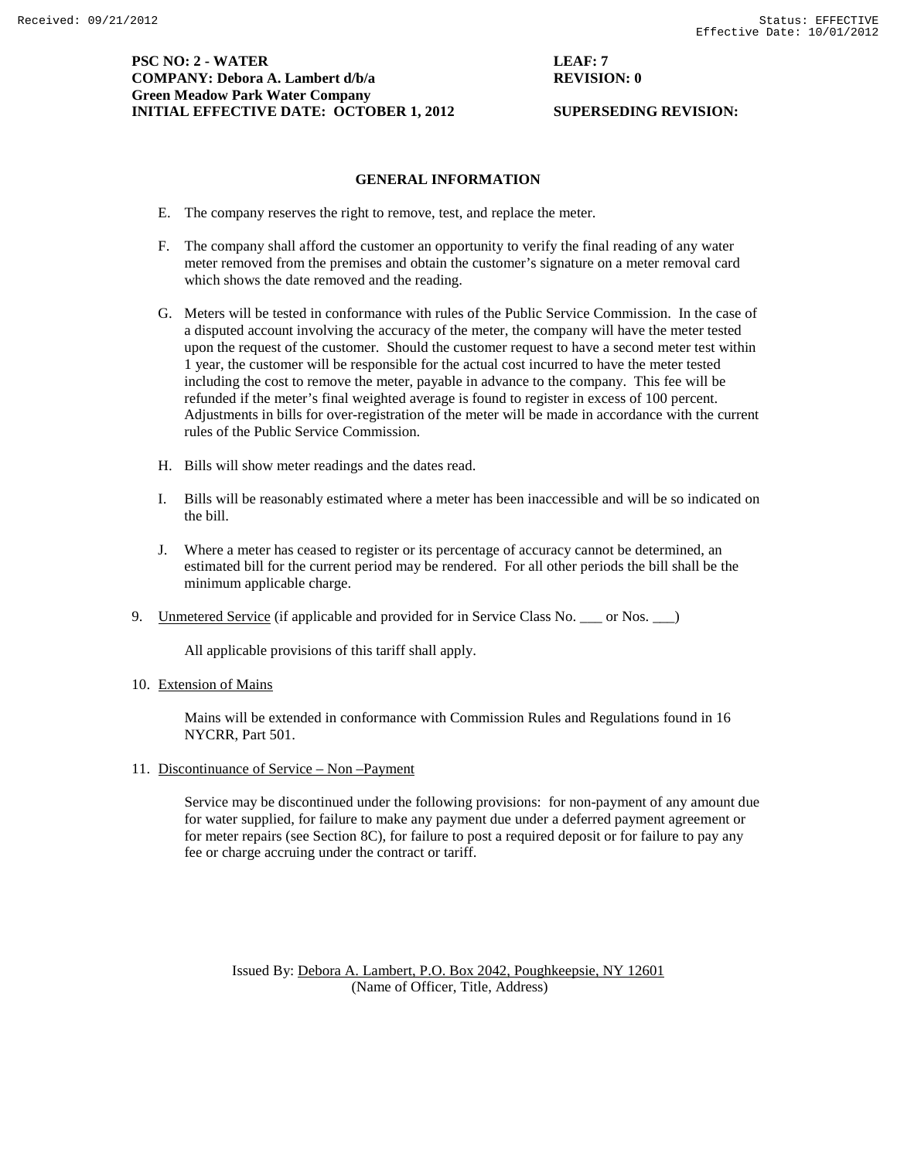# **PSC NO: 2 - WATER LEAF: 7 COMPANY: Debora A. Lambert d/b/a REVISION: 0 Green Meadow Park Water Company INITIAL EFFECTIVE DATE: OCTOBER 1, 2012 SUPERSEDING REVISION:**

# **GENERAL INFORMATION**

- E. The company reserves the right to remove, test, and replace the meter.
- F. The company shall afford the customer an opportunity to verify the final reading of any water meter removed from the premises and obtain the customer's signature on a meter removal card which shows the date removed and the reading.
- G. Meters will be tested in conformance with rules of the Public Service Commission. In the case of a disputed account involving the accuracy of the meter, the company will have the meter tested upon the request of the customer. Should the customer request to have a second meter test within 1 year, the customer will be responsible for the actual cost incurred to have the meter tested including the cost to remove the meter, payable in advance to the company. This fee will be refunded if the meter's final weighted average is found to register in excess of 100 percent. Adjustments in bills for over-registration of the meter will be made in accordance with the current rules of the Public Service Commission.
- H. Bills will show meter readings and the dates read.
- I. Bills will be reasonably estimated where a meter has been inaccessible and will be so indicated on the bill.
- J. Where a meter has ceased to register or its percentage of accuracy cannot be determined, an estimated bill for the current period may be rendered. For all other periods the bill shall be the minimum applicable charge.
- 9. Unmetered Service (if applicable and provided for in Service Class No. \_\_\_ or Nos. \_\_\_)

All applicable provisions of this tariff shall apply.

10. Extension of Mains

Mains will be extended in conformance with Commission Rules and Regulations found in 16 NYCRR, Part 501.

11. Discontinuance of Service – Non –Payment

Service may be discontinued under the following provisions: for non-payment of any amount due for water supplied, for failure to make any payment due under a deferred payment agreement or for meter repairs (see Section 8C), for failure to post a required deposit or for failure to pay any fee or charge accruing under the contract or tariff.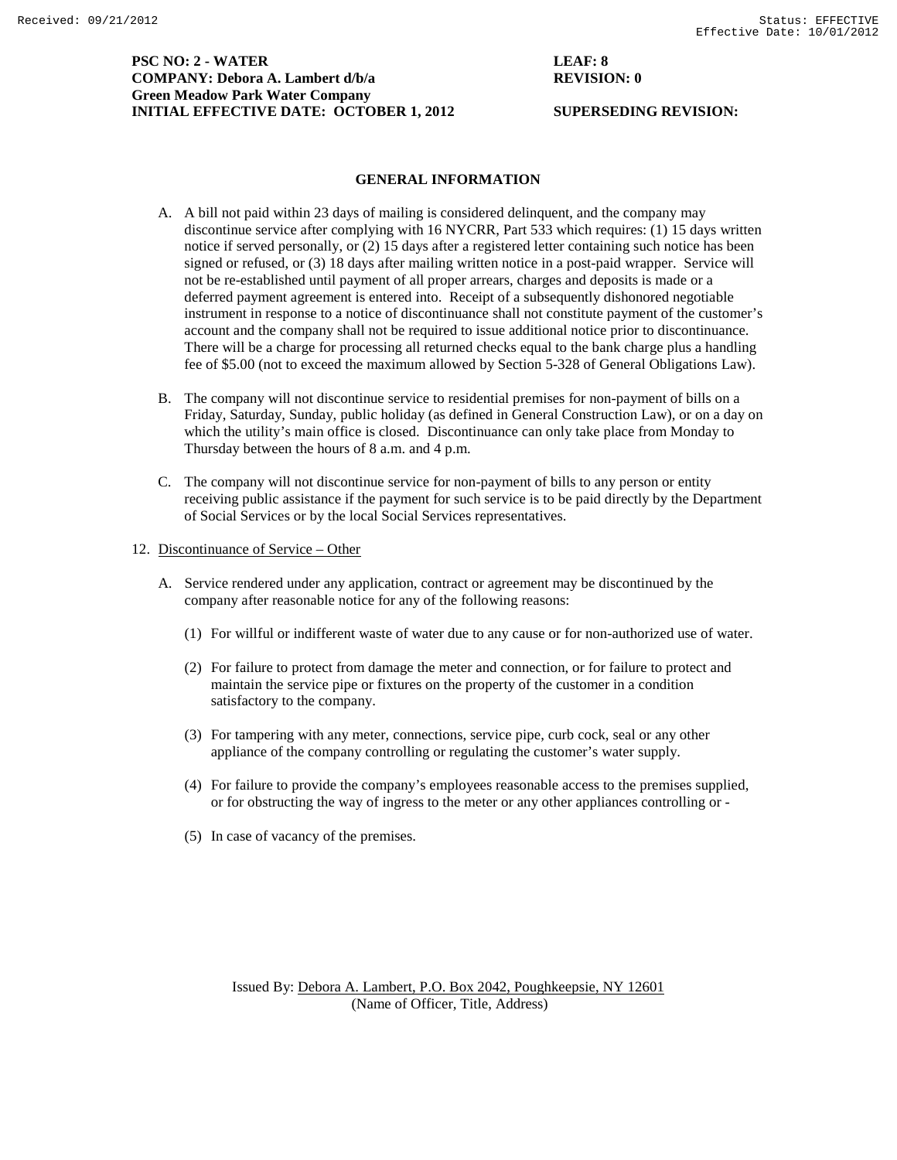**PSC NO: 2 - WATER LEAF: 8 COMPANY: Debora A. Lambert d/b/a REVISION: 0 Green Meadow Park Water Company INITIAL EFFECTIVE DATE: OCTOBER 1, 2012 SUPERSEDING REVISION:** 

## **GENERAL INFORMATION**

- A. A bill not paid within 23 days of mailing is considered delinquent, and the company may discontinue service after complying with 16 NYCRR, Part 533 which requires: (1) 15 days written notice if served personally, or (2) 15 days after a registered letter containing such notice has been signed or refused, or (3) 18 days after mailing written notice in a post-paid wrapper. Service will not be re-established until payment of all proper arrears, charges and deposits is made or a deferred payment agreement is entered into. Receipt of a subsequently dishonored negotiable instrument in response to a notice of discontinuance shall not constitute payment of the customer's account and the company shall not be required to issue additional notice prior to discontinuance. There will be a charge for processing all returned checks equal to the bank charge plus a handling fee of \$5.00 (not to exceed the maximum allowed by Section 5-328 of General Obligations Law).
- B. The company will not discontinue service to residential premises for non-payment of bills on a Friday, Saturday, Sunday, public holiday (as defined in General Construction Law), or on a day on which the utility's main office is closed. Discontinuance can only take place from Monday to Thursday between the hours of 8 a.m. and 4 p.m.
- C. The company will not discontinue service for non-payment of bills to any person or entity receiving public assistance if the payment for such service is to be paid directly by the Department of Social Services or by the local Social Services representatives.
- 12. Discontinuance of Service Other
	- A. Service rendered under any application, contract or agreement may be discontinued by the company after reasonable notice for any of the following reasons:
		- (1) For willful or indifferent waste of water due to any cause or for non-authorized use of water.
		- (2) For failure to protect from damage the meter and connection, or for failure to protect and maintain the service pipe or fixtures on the property of the customer in a condition satisfactory to the company.
		- (3) For tampering with any meter, connections, service pipe, curb cock, seal or any other appliance of the company controlling or regulating the customer's water supply.
		- (4) For failure to provide the company's employees reasonable access to the premises supplied, or for obstructing the way of ingress to the meter or any other appliances controlling or -
		- (5) In case of vacancy of the premises.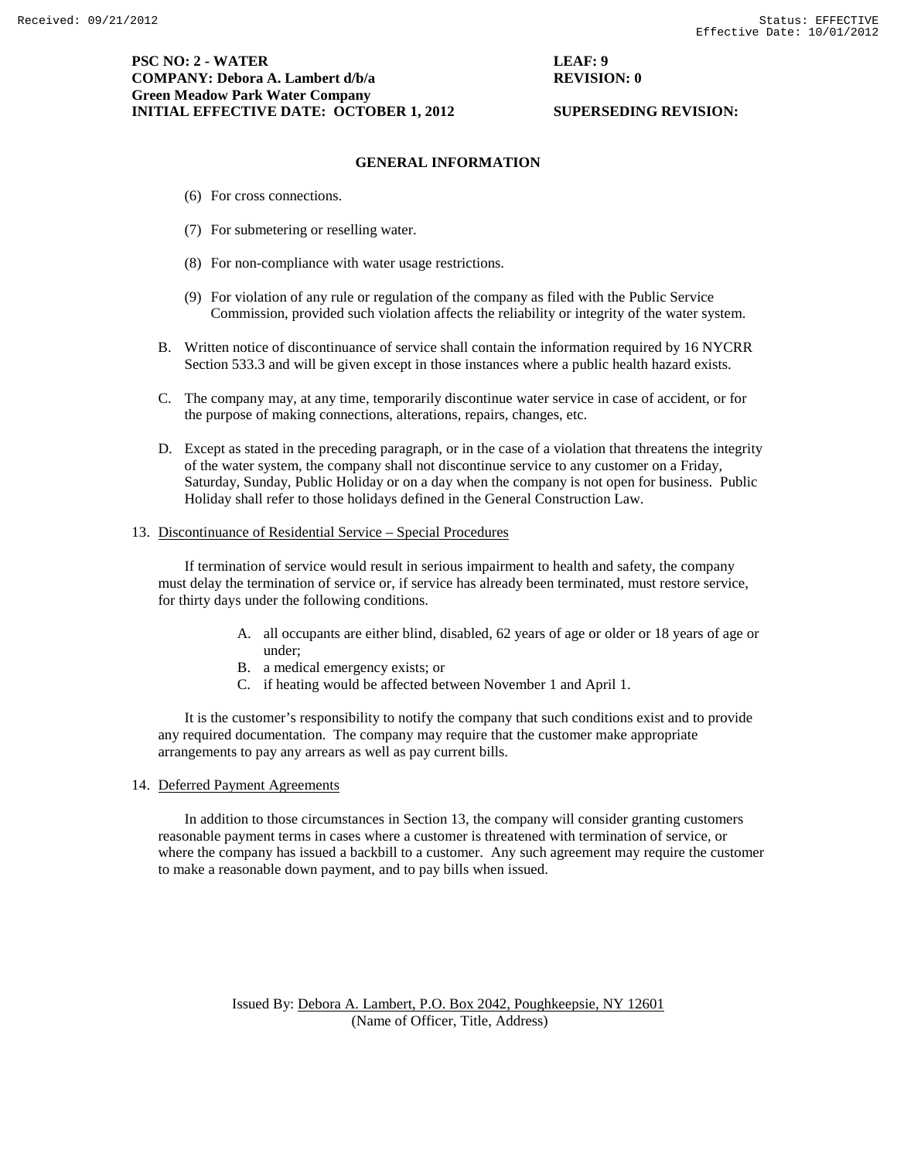# **PSC NO: 2 - WATER LEAF: 9 COMPANY: Debora A. Lambert d/b/a REVISION: 0 Green Meadow Park Water Company INITIAL EFFECTIVE DATE: OCTOBER 1, 2012 SUPERSEDING REVISION:**

### **GENERAL INFORMATION**

- (6) For cross connections.
- (7) For submetering or reselling water.
- (8) For non-compliance with water usage restrictions.
- (9) For violation of any rule or regulation of the company as filed with the Public Service Commission, provided such violation affects the reliability or integrity of the water system.
- B. Written notice of discontinuance of service shall contain the information required by 16 NYCRR Section 533.3 and will be given except in those instances where a public health hazard exists.
- C. The company may, at any time, temporarily discontinue water service in case of accident, or for the purpose of making connections, alterations, repairs, changes, etc.
- D. Except as stated in the preceding paragraph, or in the case of a violation that threatens the integrity of the water system, the company shall not discontinue service to any customer on a Friday, Saturday, Sunday, Public Holiday or on a day when the company is not open for business. Public Holiday shall refer to those holidays defined in the General Construction Law.

## 13. Discontinuance of Residential Service – Special Procedures

If termination of service would result in serious impairment to health and safety, the company must delay the termination of service or, if service has already been terminated, must restore service, for thirty days under the following conditions.

- A. all occupants are either blind, disabled, 62 years of age or older or 18 years of age or under;
- B. a medical emergency exists; or
- C. if heating would be affected between November 1 and April 1.

It is the customer's responsibility to notify the company that such conditions exist and to provide any required documentation. The company may require that the customer make appropriate arrangements to pay any arrears as well as pay current bills.

#### 14. Deferred Payment Agreements

In addition to those circumstances in Section 13, the company will consider granting customers reasonable payment terms in cases where a customer is threatened with termination of service, or where the company has issued a backbill to a customer. Any such agreement may require the customer to make a reasonable down payment, and to pay bills when issued.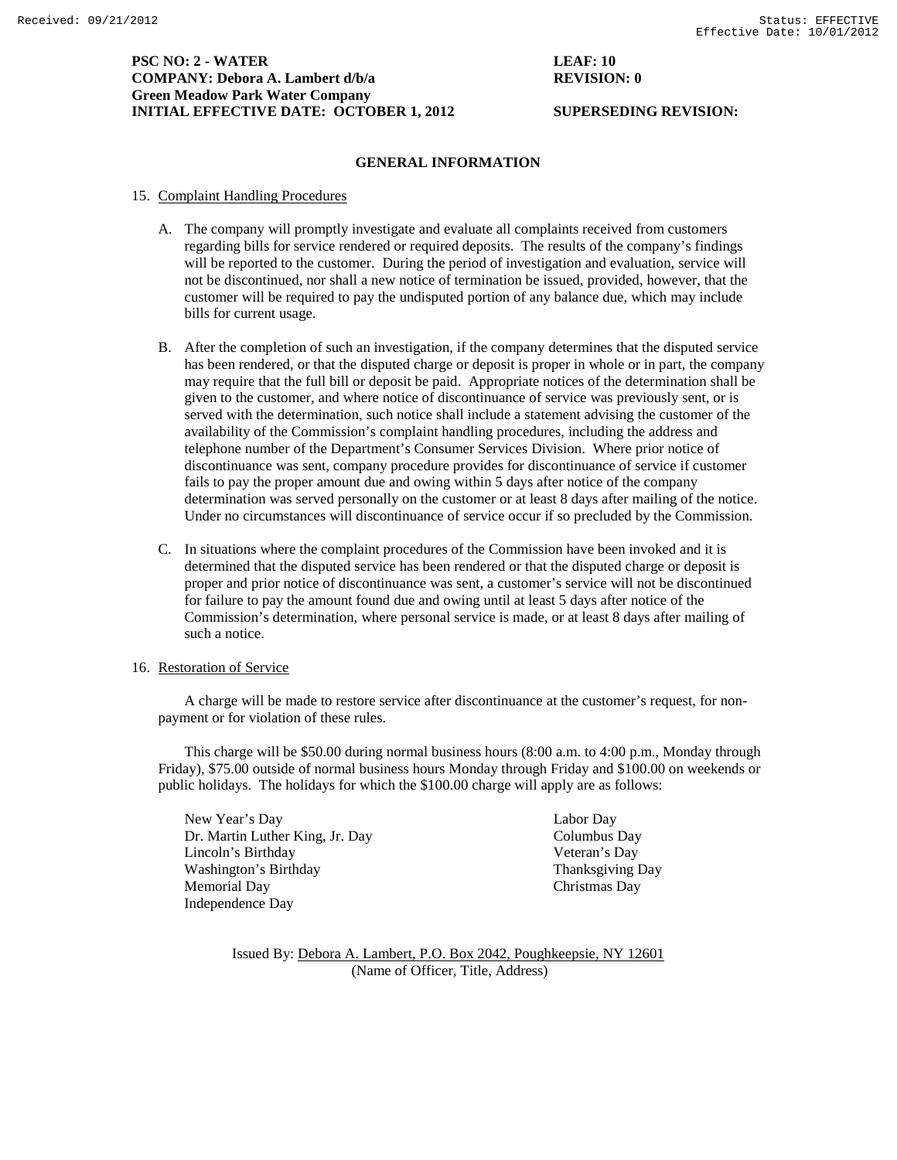# **PSC NO: 2 - WATER LEAF: 10 COMPANY: Debora A. Lambert d/b/a REVISION: 0 Green Meadow Park Water Company INITIAL EFFECTIVE DATE: OCTOBER 1, 2012 SUPERSEDING REVISION:**

## **GENERAL INFORMATION**

#### 15. Complaint Handling Procedures

- A. The company will promptly investigate and evaluate all complaints received from customers regarding bills for service rendered or required deposits. The results of the company's findings will be reported to the customer. During the period of investigation and evaluation, service will not be discontinued, nor shall a new notice of termination be issued, provided, however, that the customer will be required to pay the undisputed portion of any balance due, which may include bills for current usage.
- B. After the completion of such an investigation, if the company determines that the disputed service has been rendered, or that the disputed charge or deposit is proper in whole or in part, the company may require that the full bill or deposit be paid. Appropriate notices of the determination shall be given to the customer, and where notice of discontinuance of service was previously sent, or is served with the determination, such notice shall include a statement advising the customer of the availability of the Commission's complaint handling procedures, including the address and telephone number of the Department's Consumer Services Division. Where prior notice of discontinuance was sent, company procedure provides for discontinuance of service if customer fails to pay the proper amount due and owing within 5 days after notice of the company determination was served personally on the customer or at least 8 days after mailing of the notice. Under no circumstances will discontinuance of service occur if so precluded by the Commission.
- C. In situations where the complaint procedures of the Commission have been invoked and it is determined that the disputed service has been rendered or that the disputed charge or deposit is proper and prior notice of discontinuance was sent, a customer's service will not be discontinued for failure to pay the amount found due and owing until at least 5 days after notice of the Commission's determination, where personal service is made, or at least 8 days after mailing of such a notice.

#### 16. Restoration of Service

A charge will be made to restore service after discontinuance at the customer's request, for nonpayment or for violation of these rules.

This charge will be \$50.00 during normal business hours (8:00 a.m. to 4:00 p.m., Monday through Friday), \$75.00 outside of normal business hours Monday through Friday and \$100.00 on weekends or public holidays. The holidays for which the \$100.00 charge will apply are as follows:

New Year's Day Labor Day Dr. Martin Luther King, Jr. Day Columbus Day Lincoln's Birthday Veteran's Day Washington's Birthday **Thanksgiving Day** Thanksgiving Day **Memorial** Day Independence Day

Christmas Day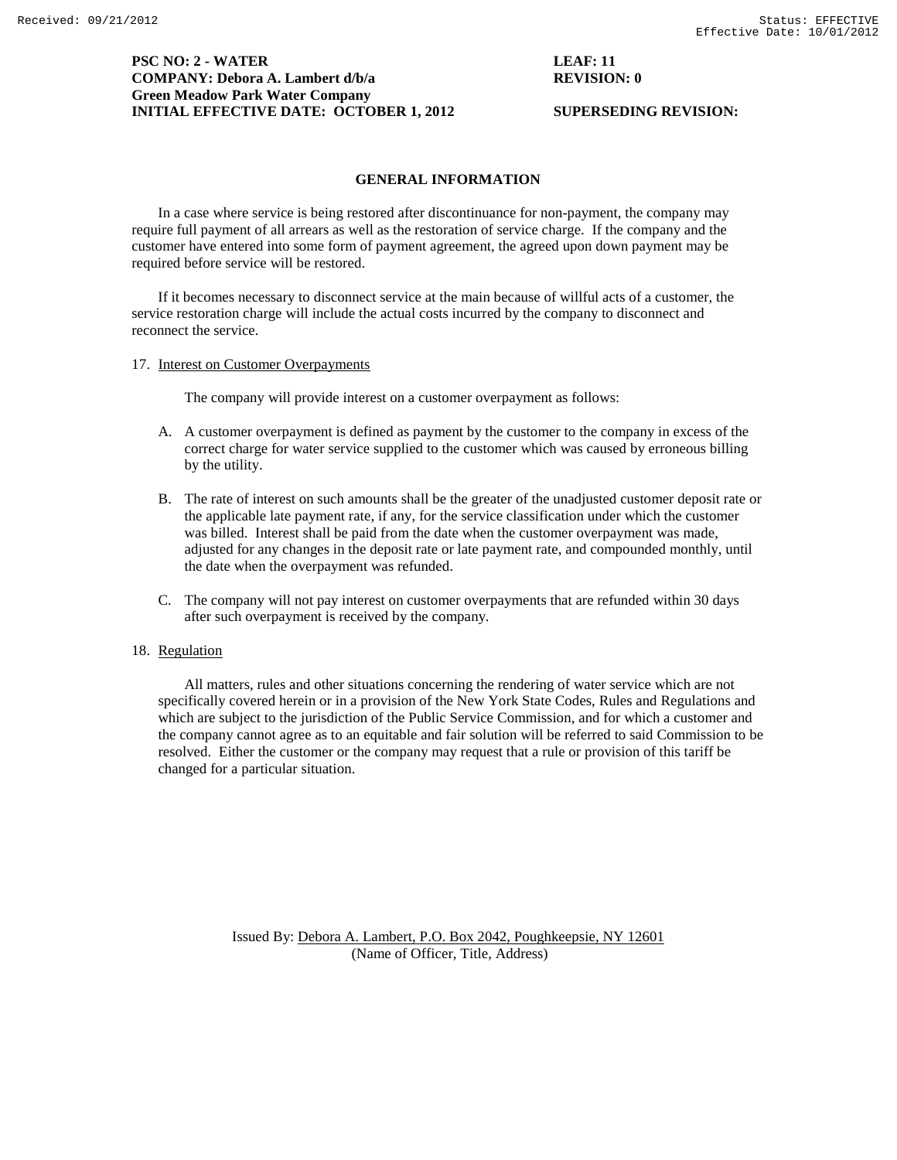# **PSC NO: 2 - WATER LEAF: 11 COMPANY: Debora A. Lambert d/b/a REVISION: 0 Green Meadow Park Water Company INITIAL EFFECTIVE DATE: OCTOBER 1, 2012 SUPERSEDING REVISION:**

## **GENERAL INFORMATION**

In a case where service is being restored after discontinuance for non-payment, the company may require full payment of all arrears as well as the restoration of service charge. If the company and the customer have entered into some form of payment agreement, the agreed upon down payment may be required before service will be restored.

If it becomes necessary to disconnect service at the main because of willful acts of a customer, the service restoration charge will include the actual costs incurred by the company to disconnect and reconnect the service.

17. Interest on Customer Overpayments

The company will provide interest on a customer overpayment as follows:

- A. A customer overpayment is defined as payment by the customer to the company in excess of the correct charge for water service supplied to the customer which was caused by erroneous billing by the utility.
- B. The rate of interest on such amounts shall be the greater of the unadjusted customer deposit rate or the applicable late payment rate, if any, for the service classification under which the customer was billed. Interest shall be paid from the date when the customer overpayment was made, adjusted for any changes in the deposit rate or late payment rate, and compounded monthly, until the date when the overpayment was refunded.
- C. The company will not pay interest on customer overpayments that are refunded within 30 days after such overpayment is received by the company.

# 18. Regulation

All matters, rules and other situations concerning the rendering of water service which are not specifically covered herein or in a provision of the New York State Codes, Rules and Regulations and which are subject to the jurisdiction of the Public Service Commission, and for which a customer and the company cannot agree as to an equitable and fair solution will be referred to said Commission to be resolved. Either the customer or the company may request that a rule or provision of this tariff be changed for a particular situation.